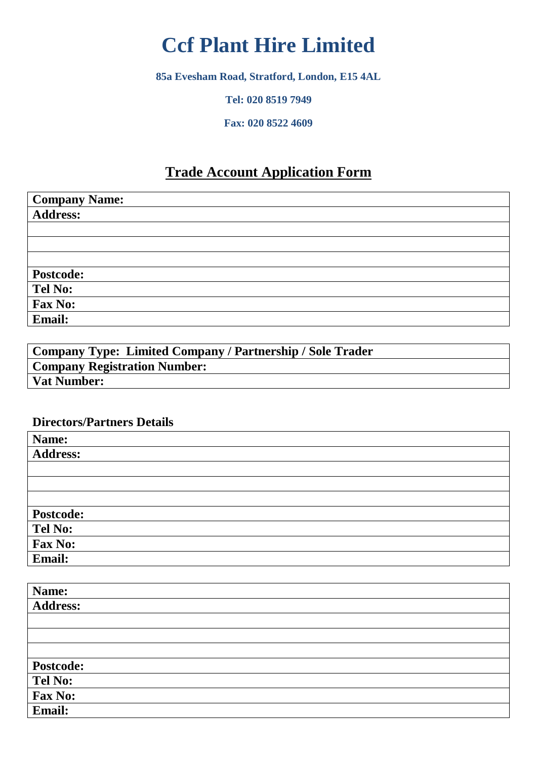# **Ccf Plant Hire Limited**

**85a Evesham Road, Stratford, London, E15 4AL**

**Tel: 020 8519 7949**

**Fax: 020 8522 4609**

## **Trade Account Application Form**

| <b>Company Name:</b> |  |
|----------------------|--|
| <b>Address:</b>      |  |
|                      |  |
|                      |  |
|                      |  |
| <b>Postcode:</b>     |  |
| <b>Tel No:</b>       |  |
| Fax No:              |  |
| Email:               |  |

| Company Type: Limited Company / Partnership / Sole Trader |
|-----------------------------------------------------------|
| <b>Company Registration Number:</b>                       |
| <b>Vat Number:</b>                                        |

#### **Directors/Partners Details**

| Name:            |  |
|------------------|--|
| <b>Address:</b>  |  |
|                  |  |
|                  |  |
|                  |  |
| <b>Postcode:</b> |  |
| Tel No:          |  |
| Fax No:          |  |
| Email:           |  |

| Name:            |  |
|------------------|--|
| <b>Address:</b>  |  |
|                  |  |
|                  |  |
|                  |  |
| <b>Postcode:</b> |  |
| Tel No:          |  |
| Fax No:          |  |
| Email:           |  |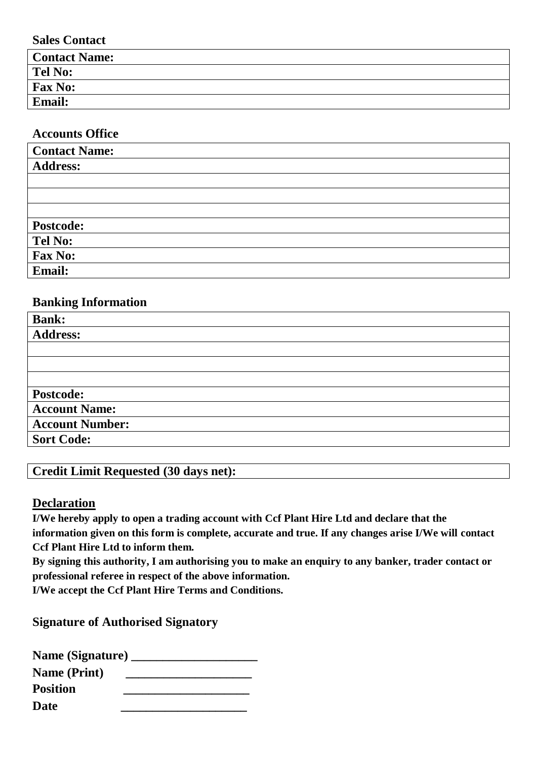**Sales Contact**

| <b>Contact Name:</b> |  |
|----------------------|--|
| <b>Tel No:</b>       |  |
| <b>Fax No:</b>       |  |
| Email:               |  |

#### **Accounts Office**

| <b>Contact Name:</b> |  |
|----------------------|--|
| <b>Address:</b>      |  |
|                      |  |
|                      |  |
|                      |  |
| <b>Postcode:</b>     |  |
| Tel No:              |  |
| Fax No:              |  |
| <b>Email:</b>        |  |

#### **Banking Information**

| <b>Bank:</b>           |
|------------------------|
| <b>Address:</b>        |
|                        |
|                        |
|                        |
| Postcode:              |
| <b>Account Name:</b>   |
| <b>Account Number:</b> |
| <b>Sort Code:</b>      |

### **Credit Limit Requested (30 days net):**

#### **Declaration**

**I/We hereby apply to open a trading account with Ccf Plant Hire Ltd and declare that the information given on this form is complete, accurate and true. If any changes arise I/We will contact Ccf Plant Hire Ltd to inform them.**

**By signing this authority, I am authorising you to make an enquiry to any banker, trader contact or professional referee in respect of the above information.**

**I/We accept the Ccf Plant Hire Terms and Conditions.** 

**Signature of Authorised Signatory**

| Name (Signature) __ |  |
|---------------------|--|
| <b>Name (Print)</b> |  |
| <b>Position</b>     |  |
| Date                |  |